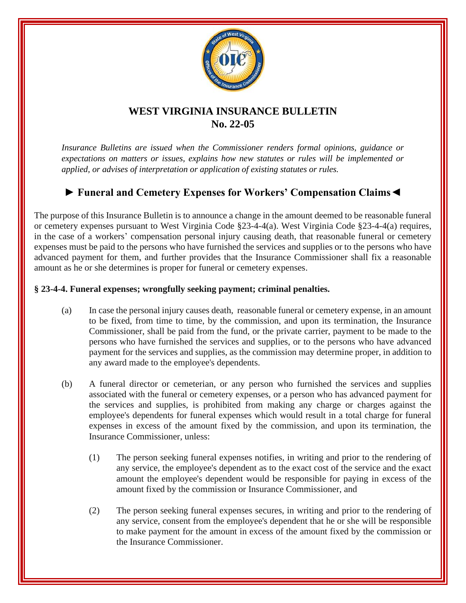

## **WEST VIRGINIA INSURANCE BULLETIN No. 22-05**

*Insurance Bulletins are issued when the Commissioner renders formal opinions, guidance or expectations on matters or issues, explains how new statutes or rules will be implemented or applied, or advises of interpretation or application of existing statutes or rules.*

## **► Funeral and Cemetery Expenses for Workers' Compensation Claims◄**

The purpose of this Insurance Bulletin is to announce a change in the amount deemed to be reasonable funeral or cemetery expenses pursuant to West Virginia Code §23-4-4(a). West Virginia Code §23-4-4(a) requires, in the case of a workers' compensation personal injury causing death, that reasonable funeral or cemetery expenses must be paid to the persons who have furnished the services and supplies or to the persons who have advanced payment for them, and further provides that the Insurance Commissioner shall fix a reasonable amount as he or she determines is proper for funeral or cemetery expenses.

## **§ 23-4-4. Funeral expenses; wrongfully seeking payment; criminal penalties.**

- (a) In case the personal injury causes death, reasonable funeral or cemetery expense, in an amount to be fixed, from time to time, by the commission, and upon its termination, the Insurance Commissioner, shall be paid from the fund, or the private carrier, payment to be made to the persons who have furnished the services and supplies, or to the persons who have advanced payment for the services and supplies, as the commission may determine proper, in addition to any award made to the employee's dependents.
- (b) A funeral director or cemeterian, or any person who furnished the services and supplies associated with the funeral or cemetery expenses, or a person who has advanced payment for the services and supplies, is prohibited from making any charge or charges against the employee's dependents for funeral expenses which would result in a total charge for funeral expenses in excess of the amount fixed by the commission, and upon its termination, the Insurance Commissioner, unless:
	- (1) The person seeking funeral expenses notifies, in writing and prior to the rendering of any service, the employee's dependent as to the exact cost of the service and the exact amount the employee's dependent would be responsible for paying in excess of the amount fixed by the commission or Insurance Commissioner, and
	- (2) The person seeking funeral expenses secures, in writing and prior to the rendering of any service, consent from the employee's dependent that he or she will be responsible to make payment for the amount in excess of the amount fixed by the commission or the Insurance Commissioner.